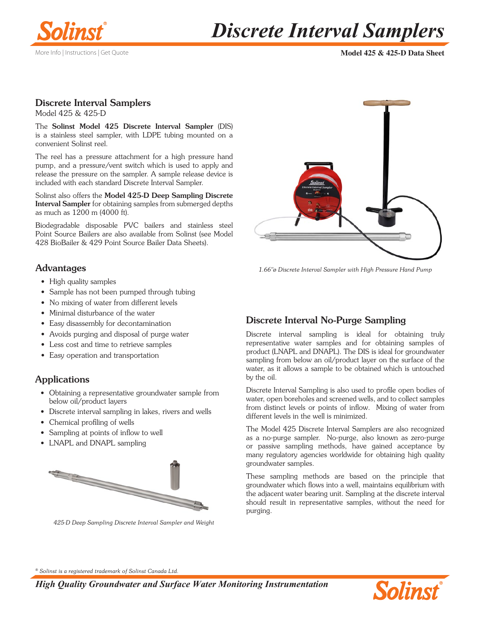

# *Discrete Interval Samplers*

**Model 425 & 425-D Data Sheet**

#### Discrete Interval Samplers Model 425 & 425-D

The Solinst Model 425 Discrete Interval Sampler (DIS) is a stainless steel sampler, with LDPE tubing mounted on a convenient Solinst reel.

The reel has a pressure attachment for a high pressure hand pump, and a pressure/vent switch which is used to apply and release the pressure on the sampler. A sample release device is included with each standard Discrete Interval Sampler.

Solinst also offers the Model 425-D Deep Sampling Discrete Interval Sampler for obtaining samples from submerged depths as much as 1200 m (4000 ft).

Biodegradable disposable PVC bailers and stainless steel Point Source Bailers are also available from Solinst (se[e Model](https://www.solinst.com/products/groundwater-samplers/428-bio-bailer/?utm_source=solinst-&utm_medium=DS-&utm_campaign=428-WC-&utm_term=GS-global-&utm_content=DS-425-428)  [428 BioBailer](https://www.solinst.com/products/groundwater-samplers/428-bio-bailer/?utm_source=solinst-&utm_medium=INS-&utm_campaign=428-WC-&utm_term=GS-global-&utm_content=425-GrabSamplersComparison-428) [& 429 Point Source Bailer Data Sheets\).](https://www.solinst.com/products/groundwater-samplers/429-point-source-bailer/?utm_source=solinst-&utm_medium=INS-&utm_campaign=429-WC-&utm_term=GS-global-&utm_content=425-GrabSamplersComparison-429)

### Advantages

- High quality samples
- Sample has not been pumped through tubing
- No mixing of water from different levels
- Minimal disturbance of the water
- Easy disassembly for decontamination
- Avoids purging and disposal of purge water
- Less cost and time to retrieve samples
- Easy operation and transportation

## **Applications**

- Obtaining a representative groundwater sample from below oil/product layers
- Discrete interval sampling in lakes, rivers and wells
- Chemical profiling of wells
- Sampling at points of inflow to well
- LNAPL and DNAPL sampling



*425-D Deep Sampling Discrete Interval Sampler and Weight*



*1.66"ø Discrete Interval Sampler with High Pressure Hand Pump*

# Discrete Interval No-Purge Sampling

Discrete interval sampling is ideal for obtaining truly representative water samples and for obtaining samples of product (LNAPL and DNAPL). The DIS is ideal for groundwater sampling from below an oil/product layer on the surface of the water, as it allows a sample to be obtained which is untouched by the oil.

Discrete Interval Sampling is also used to profile open bodies of water, open boreholes and screened wells, and to collect samples from distinct levels or points of inflow. Mixing of water from different levels in the well is minimized.

The Model 425 Discrete Interval Samplers are also recognized as a no-purge sampler. No-purge, also known as zero-purge or passive sampling methods, have gained acceptance by many regulatory agencies worldwide for obtaining high quality groundwater samples.

These sampling methods are based on the principle that groundwater which flows into a well, maintains equilibrium with the adjacent water bearing unit. Sampling at the discrete interval should result in representative samples, without the need for purging.

*® Solinst is a registered trademark of Solinst Canada Ltd.*

*High Quality Groundwater and Surface Water Monitoring Instrumentation*

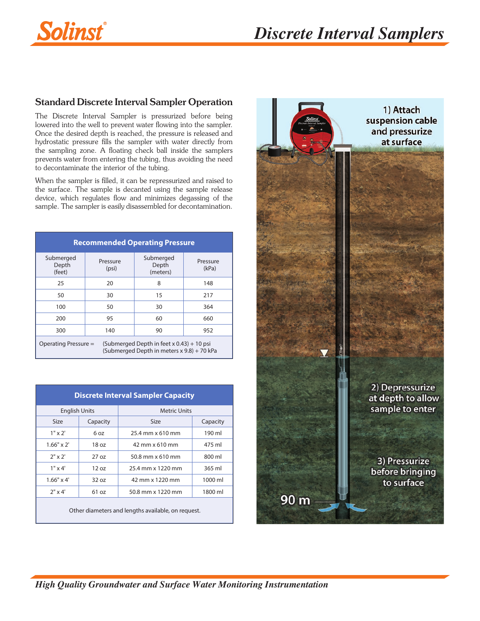

### Standard Discrete Interval Sampler Operation

The Discrete Interval Sampler is pressurized before being lowered into the well to prevent water flowing into the sampler. Once the desired depth is reached, the pressure is released and hydrostatic pressure fills the sampler with water directly from the sampling zone. A floating check ball inside the samplers prevents water from entering the tubing, thus avoiding the need to decontaminate the interior of the tubing.

When the sampler is filled, it can be repressurized and raised to the surface. The sample is decanted using the sample release device, which regulates flow and minimizes degassing of the sample. The sampler is easily disassembled for decontamination.

| <b>Recommended Operating Pressure</b>                                                                             |                   |                                |                   |  |  |  |
|-------------------------------------------------------------------------------------------------------------------|-------------------|--------------------------------|-------------------|--|--|--|
| Submerged<br>Depth<br>(feet)                                                                                      | Pressure<br>(psi) | Submerged<br>Depth<br>(meters) | Pressure<br>(kPa) |  |  |  |
| 25                                                                                                                | 20                | 8                              | 148               |  |  |  |
| 50                                                                                                                | 30                | 15                             | 217               |  |  |  |
| 100                                                                                                               | 50                | 30                             | 364               |  |  |  |
| 200                                                                                                               | 95                | 60                             | 660               |  |  |  |
| 300                                                                                                               | 140               | 90                             | 952               |  |  |  |
| Operating Pressure =<br>(Submerged Depth in feet $x$ 0.43) + 10 psi<br>(Submerged Depth in meters x 9.8) + 70 kPa |                   |                                |                   |  |  |  |

| <b>Discrete Interval Sampler Capacity</b> |                 |                     |          |  |  |  |
|-------------------------------------------|-----------------|---------------------|----------|--|--|--|
| <b>English Units</b>                      |                 | <b>Metric Units</b> |          |  |  |  |
| Size                                      | Capacity        | Size                | Capacity |  |  |  |
| $1" \times 2'$                            | 6 oz            | 25.4 mm x 610 mm    | 190 ml   |  |  |  |
| $1.66" \times 2'$                         | 18 oz           | 42 mm x 610 mm      | 475 ml   |  |  |  |
| $2" \times 2'$                            | $27 \text{ oz}$ | 50.8 mm x 610 mm    | 800 ml   |  |  |  |
| $1" \times 4'$                            | 12 oz           | 25.4 mm x 1220 mm   | 365 ml   |  |  |  |
| $1.66" \times 4'$                         | 320z            | 42 mm x 1220 mm     | 1000 ml  |  |  |  |
| $2" \times 4'$                            | 61 oz           | 50.8 mm x 1220 mm   | 1800 ml  |  |  |  |
|                                           |                 |                     |          |  |  |  |

Other diameters and lengths available, on request.

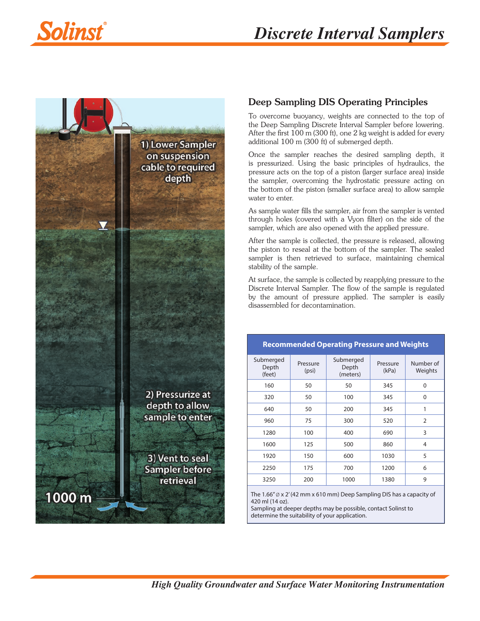

### Deep Sampling DIS Operating Principles

To overcome buoyancy, weights are connected to the top of the Deep Sampling Discrete Interval Sampler before lowering. After the first 100 m (300 ft), one 2 kg weight is added for every additional 100 m (300 ft) of submerged depth.

Once the sampler reaches the desired sampling depth, it is pressurized. Using the basic principles of hydraulics, the pressure acts on the top of a piston (larger surface area) inside the sampler, overcoming the hydrostatic pressure acting on the bottom of the piston (smaller surface area) to allow sample water to enter.

As sample water fills the sampler, air from the sampler is vented through holes (covered with a Vyon filter) on the side of the sampler, which are also opened with the applied pressure.

After the sample is collected, the pressure is released, allowing the piston to reseal at the bottom of the sampler. The sealed sampler is then retrieved to surface, maintaining chemical stability of the sample.

At surface, the sample is collected by reapplying pressure to the Discrete Interval Sampler. The flow of the sample is regulated by the amount of pressure applied. The sampler is easily disassembled for decontamination.

**Recommended Operating Pressure and Weights**

| neechmoned eperantly rices are and riceying |                   |                                |                   |                      |  |  |
|---------------------------------------------|-------------------|--------------------------------|-------------------|----------------------|--|--|
| Submerged<br>Depth<br>(feet)                | Pressure<br>(psi) | Submerged<br>Depth<br>(meters) | Pressure<br>(kPa) | Number of<br>Weights |  |  |
| 160                                         | 50                | 50                             | 345               | $\mathbf{0}$         |  |  |
| 320                                         | 50                | 100                            | 345               | $\mathbf{0}$         |  |  |
| 640                                         | 50                | 200                            | 345               | 1                    |  |  |
| 960                                         | 75                | 300                            | 520               | $\overline{2}$       |  |  |
| 1280                                        | 100               | 400                            | 690               | 3                    |  |  |
| 1600                                        | 125               | 500                            | 860               | 4                    |  |  |
| 1920                                        | 150               | 600                            | 1030              | 5                    |  |  |
| 2250                                        | 175               | 700                            | 1200              | 6                    |  |  |
| 3250                                        | 200               | 1000                           | 1380              | 9                    |  |  |

The  $1.66'' \varnothing$  x 2' (42 mm x 610 mm) Deep Sampling DIS has a capacity of 420 ml (14 oz).

Sampling at deeper depths may be possible, contact Solinst to determine the suitability of your application.